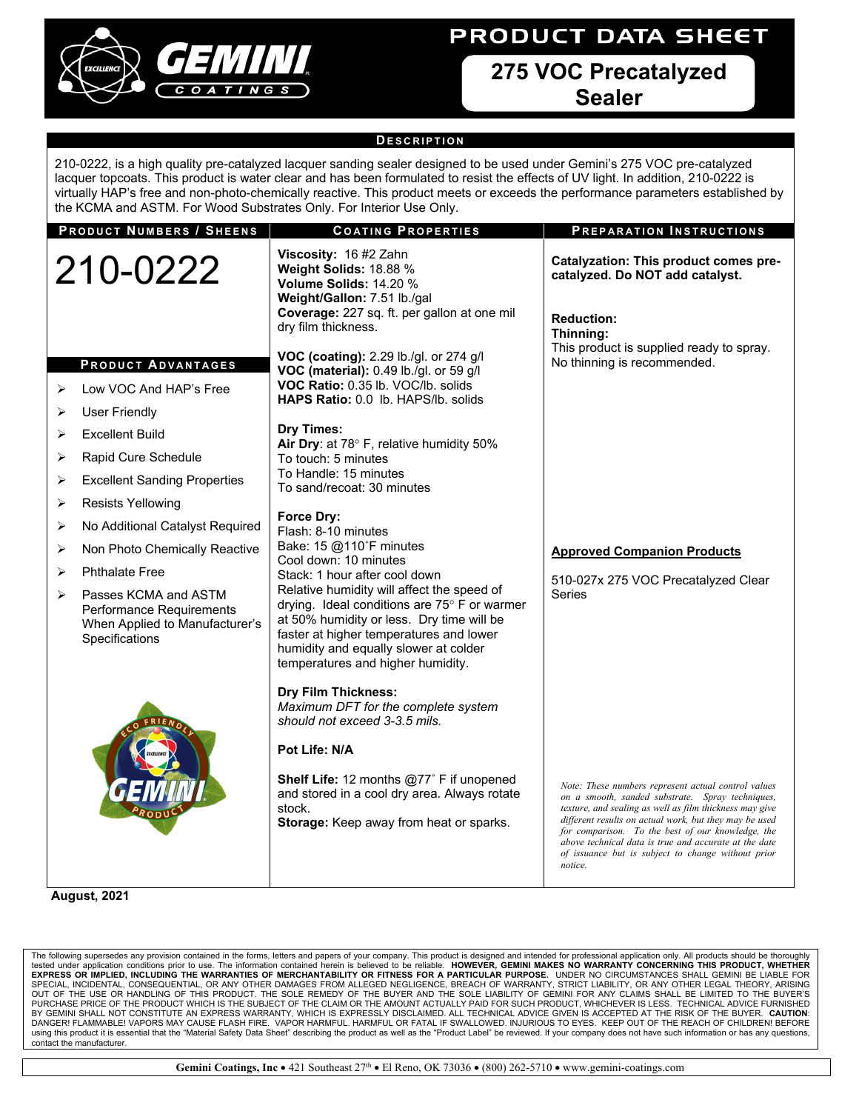# **PRODUCT DATA SHEET**



# **275 VOC Precatalyzed Sealer**

# **D ESCRIPTION**

210-0222, is a high quality pre-catalyzed lacquer sanding sealer designed to be used under Gemini's 275 VOC pre-catalyzed lacquer topcoats. This product is water clear and has been formulated to resist the effects of UV light. In addition, 210-0222 is virtually HAP's free and non-photo-chemically reactive. This product meets or exceeds the performance parameters established by the KCMA and ASTM. For Wood Substrates Only. For Interior Use Only.

| <b>PRODUCT NUMBERS / SHEENS</b>                                                                                               | <b>COATING PROPERTIES</b>                                                                                                                                                                                                                                        | PREPARATION INSTRUCTIONS                                                                                                                                                                                                                                                                                                                                                                                    |
|-------------------------------------------------------------------------------------------------------------------------------|------------------------------------------------------------------------------------------------------------------------------------------------------------------------------------------------------------------------------------------------------------------|-------------------------------------------------------------------------------------------------------------------------------------------------------------------------------------------------------------------------------------------------------------------------------------------------------------------------------------------------------------------------------------------------------------|
| 210-0222                                                                                                                      | Viscosity: 16 #2 Zahn<br>Weight Solids: 18.88 %<br>Volume Solids: 14.20 %<br>Weight/Gallon: 7.51 lb./gal<br>Coverage: 227 sq. ft. per gallon at one mil<br>dry film thickness.                                                                                   | Catalyzation: This product comes pre-<br>catalyzed. Do NOT add catalyst.<br><b>Reduction:</b><br>Thinning:                                                                                                                                                                                                                                                                                                  |
| <b>PRODUCT ADVANTAGES</b><br>Low VOC And HAP's Free<br>⋗<br><b>User Friendly</b><br>⋗<br><b>Excellent Build</b><br>⋗          | VOC (coating): 2.29 lb./gl. or 274 g/l<br>VOC (material): 0.49 lb./gl. or 59 g/l<br>VOC Ratio: 0.35 lb. VOC/lb. solids<br>HAPS Ratio: 0.0 lb. HAPS/lb. solids<br>Dry Times:                                                                                      | This product is supplied ready to spray.<br>No thinning is recommended.                                                                                                                                                                                                                                                                                                                                     |
| Rapid Cure Schedule<br>➤                                                                                                      | Air Dry: at 78° F, relative humidity 50%<br>To touch: 5 minutes                                                                                                                                                                                                  |                                                                                                                                                                                                                                                                                                                                                                                                             |
| <b>Excellent Sanding Properties</b><br>➤                                                                                      | To Handle: 15 minutes<br>To sand/recoat: 30 minutes                                                                                                                                                                                                              |                                                                                                                                                                                                                                                                                                                                                                                                             |
| <b>Resists Yellowing</b><br>➤                                                                                                 |                                                                                                                                                                                                                                                                  |                                                                                                                                                                                                                                                                                                                                                                                                             |
| No Additional Catalyst Required<br>≻                                                                                          | <b>Force Dry:</b><br>Flash: 8-10 minutes                                                                                                                                                                                                                         |                                                                                                                                                                                                                                                                                                                                                                                                             |
| Non Photo Chemically Reactive<br>➤                                                                                            | Bake: 15 @110°F minutes                                                                                                                                                                                                                                          | <b>Approved Companion Products</b>                                                                                                                                                                                                                                                                                                                                                                          |
| <b>Phthalate Free</b><br>➤                                                                                                    | Cool down: 10 minutes<br>Stack: 1 hour after cool down                                                                                                                                                                                                           | 510-027x 275 VOC Precatalyzed Clear                                                                                                                                                                                                                                                                                                                                                                         |
| Passes KCMA and ASTM<br>$\blacktriangleright$<br>Performance Requirements<br>When Applied to Manufacturer's<br>Specifications | Relative humidity will affect the speed of<br>drying. Ideal conditions are 75° F or warmer<br>at 50% humidity or less. Dry time will be<br>faster at higher temperatures and lower<br>humidity and equally slower at colder<br>temperatures and higher humidity. | <b>Series</b>                                                                                                                                                                                                                                                                                                                                                                                               |
|                                                                                                                               | <b>Dry Film Thickness:</b><br>Maximum DFT for the complete system<br>should not exceed 3-3.5 mils.<br>Pot Life: N/A                                                                                                                                              |                                                                                                                                                                                                                                                                                                                                                                                                             |
|                                                                                                                               | Shelf Life: 12 months @77° F if unopened<br>and stored in a cool dry area. Always rotate<br>stock.<br>Storage: Keep away from heat or sparks.                                                                                                                    | Note: These numbers represent actual control values<br>on a smooth, sanded substrate. Spray techniques,<br>texture, and sealing as well as film thickness may give<br>different results on actual work, but they may be used<br>for comparison. To the best of our knowledge, the<br>above technical data is true and accurate at the date<br>of issuance but is subject to change without prior<br>notice. |

 **August, 2021**

The following supersedes any provision contained in the forms, letters and papers of your company. This product is designed and intended for professional application only. All products should be thoroughly<br>tested under app BY GEMINI SHALL NOT CONSTITUTE AN EXPRESS WARRANTY, WHICH IS EXPRESSLY DISCLAIMED. ALL TECHNICAL ADVICE GIVEN IS ACCEPTED AT THE RISK OF THE BUYER. **CAUTION**: DANGER! FLAMMABLE! VAPORS MAY CAUSE FLASH FIRE. VAPOR HARMFUL. HARMFUL OR FATAL IF SWALLOWED. INJURIOUS TO EYES. KEEP OUT OF THE REACH OF CHILDREN! BEFORE using this product it is essential that the "Material Safety Data Sheet" describing the product as well as the "Product Label" be reviewed. If your company does not have such information or has any questions, contact the manufacturer.